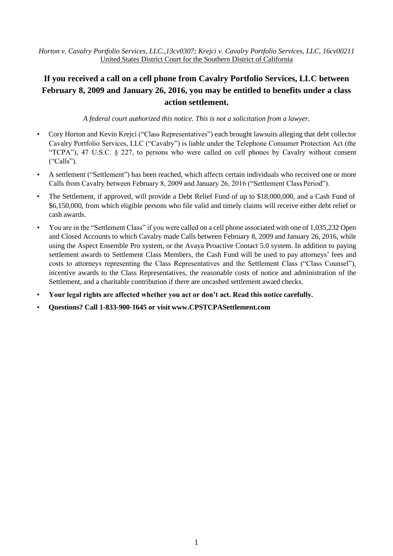*Horton v. Cavalry Portfolio Services, LLC.,13cv0307; Krejci v. Cavalry Portfolio Services, LLC, 16cv00211* United States District Court for the Southern District of California

## **If you received a call on a cell phone from Cavalry Portfolio Services, LLC between February 8, 2009 and January 26, 2016, you may be entitled to benefits under a class action settlement.**

*A federal court authorized this notice. This is not a solicitation from a lawyer.*

- Cory Horton and Kevin Krejci ("Class Representatives") each brought lawsuits alleging that debt collector Cavalry Portfolio Services, LLC ("Cavalry") is liable under the Telephone Consumer Protection Act (the "TCPA"), 47 U.S.C. § 227, to persons who were called on cell phones by Cavalry without consent ("Calls").
- A settlement ("Settlement") has been reached, which affects certain individuals who received one or more Calls from Cavalry between February 8, 2009 and January 26, 2016 ("Settlement Class Period").
- The Settlement, if approved, will provide a Debt Relief Fund of up to \$18,000,000, and a Cash Fund of \$6,150,000, from which eligible persons who file valid and timely claims will receive either debt relief or cash awards.
- You are in the "Settlement Class" if you were called on a cell phone associated with one of 1,035,232 Open and Closed Accounts to which Cavalry made Calls between February 8, 2009 and January 26, 2016, while using the Aspect Ensemble Pro system, or the Avaya Proactive Contact 5.0 system. In addition to paying settlement awards to Settlement Class Members, the Cash Fund will be used to pay attorneys' fees and costs to attorneys representing the Class Representatives and the Settlement Class ("Class Counsel"), incentive awards to the Class Representatives, the reasonable costs of notice and administration of the Settlement, and a charitable contribution if there are uncashed settlement award checks.
- **Your legal rights are affected whether you act or don't act. Read this notice carefully.**
- **Questions? Call 1-833-900-1645 or visit [www.CPSTCPASettlement.com](http://www.cpstcpasettlement.com/)**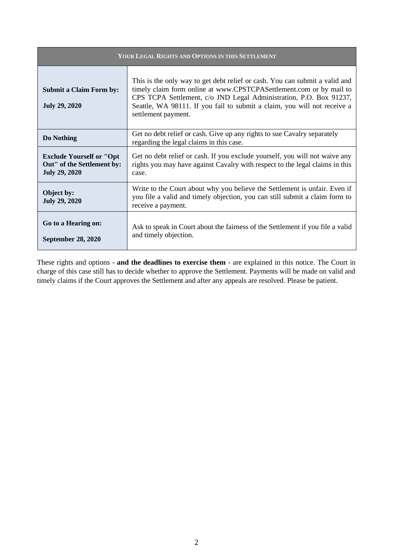| YOUR LEGAL RIGHTS AND OPTIONS IN THIS SETTLEMENT                                      |                                                                                                                                                                                                                                                                                                                             |  |  |
|---------------------------------------------------------------------------------------|-----------------------------------------------------------------------------------------------------------------------------------------------------------------------------------------------------------------------------------------------------------------------------------------------------------------------------|--|--|
| <b>Submit a Claim Form by:</b><br><b>July 29, 2020</b>                                | This is the only way to get debt relief or cash. You can submit a valid and<br>timely claim form online at www.CPSTCPASettlement.com or by mail to<br>CPS TCPA Settlement, c/o JND Legal Administration, P.O. Box 91237,<br>Seattle, WA 98111. If you fail to submit a claim, you will not receive a<br>settlement payment. |  |  |
| Do Nothing                                                                            | Get no debt relief or cash. Give up any rights to sue Cavalry separately<br>regarding the legal claims in this case.                                                                                                                                                                                                        |  |  |
| <b>Exclude Yourself or "Opt</b><br>Out" of the Settlement by:<br><b>July 29, 2020</b> | Get no debt relief or cash. If you exclude yourself, you will not waive any<br>rights you may have against Cavalry with respect to the legal claims in this<br>case.                                                                                                                                                        |  |  |
| Object by:<br><b>July 29, 2020</b>                                                    | Write to the Court about why you believe the Settlement is unfair. Even if<br>you file a valid and timely objection, you can still submit a claim form to<br>receive a payment.                                                                                                                                             |  |  |
| Go to a Hearing on:<br><b>September 28, 2020</b>                                      | Ask to speak in Court about the fairness of the Settlement if you file a valid<br>and timely objection.                                                                                                                                                                                                                     |  |  |

These rights and options - **and the deadlines to exercise them** - are explained in this notice. The Court in charge of this case still has to decide whether to approve the Settlement. Payments will be made on valid and timely claims if the Court approves the Settlement and after any appeals are resolved. Please be patient.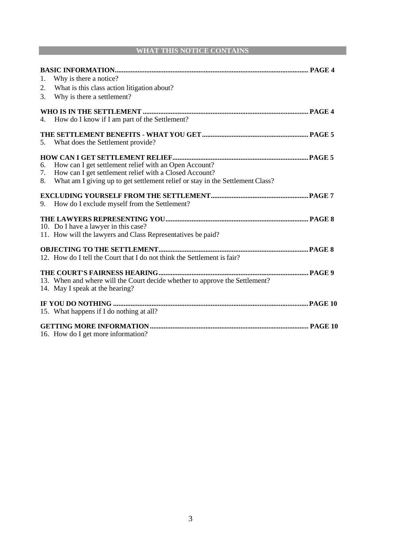### **WHAT THIS NOTICE CONTAINS**

| 1.<br>2.<br>3. | Why is there a notice?<br>What is this class action litigation about?<br>Why is there a settlement?                                                                                              |  |
|----------------|--------------------------------------------------------------------------------------------------------------------------------------------------------------------------------------------------|--|
| 4.             | How do I know if I am part of the Settlement?                                                                                                                                                    |  |
|                | 5. What does the Settlement provide?                                                                                                                                                             |  |
| 6.<br>7.<br>8. | How can I get settlement relief with an Open Account?<br>How can I get settlement relief with a Closed Account?<br>What am I giving up to get settlement relief or stay in the Settlement Class? |  |
| 9.             | How do I exclude myself from the Settlement?                                                                                                                                                     |  |
|                | 10. Do I have a lawyer in this case?<br>11. How will the lawyers and Class Representatives be paid?                                                                                              |  |
|                | 12. How do I tell the Court that I do not think the Settlement is fair?                                                                                                                          |  |
|                | 13. When and where will the Court decide whether to approve the Settlement?<br>14. May I speak at the hearing?                                                                                   |  |
|                |                                                                                                                                                                                                  |  |
|                | 15. What happens if I do nothing at all?                                                                                                                                                         |  |
|                |                                                                                                                                                                                                  |  |
|                | 16. How do I get more information?                                                                                                                                                               |  |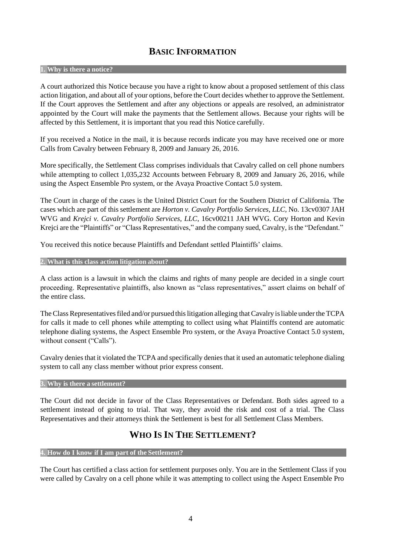## **BASIC INFORMATION**

### **1. Why is there a notice?**

A court authorized this Notice because you have a right to know about a proposed settlement of this class action litigation, and about all of your options, before the Court decides whether to approve the Settlement. If the Court approves the Settlement and after any objections or appeals are resolved, an administrator appointed by the Court will make the payments that the Settlement allows. Because your rights will be affected by this Settlement, it is important that you read this Notice carefully.

If you received a Notice in the mail, it is because records indicate you may have received one or more Calls from Cavalry between February 8, 2009 and January 26, 2016.

More specifically, the Settlement Class comprises individuals that Cavalry called on cell phone numbers while attempting to collect 1,035,232 Accounts between February 8, 2009 and January 26, 2016, while using the Aspect Ensemble Pro system, or the Avaya Proactive Contact 5.0 system.

The Court in charge of the cases is the United District Court for the Southern District of California. The cases which are part of this settlement are *Horton v. Cavalry Portfolio Services*, *LLC*, No. 13cv0307 JAH WVG and *Krejci v. Cavalry Portfolio Services, LLC*, 16cv00211 JAH WVG. Cory Horton and Kevin Krejci are the "Plaintiffs" or "Class Representatives," and the company sued, Cavalry, isthe "Defendant."

You received this notice because Plaintiffs and Defendant settled Plaintiffs' claims.

#### **2. What is this class action litigation about?**

A class action is a lawsuit in which the claims and rights of many people are decided in a single court proceeding. Representative plaintiffs, also known as "class representatives," assert claims on behalf of the entire class.

The Class Representatives filed and/or pursued this litigation alleging that Cavalry is liable under the TCPA for calls it made to cell phones while attempting to collect using what Plaintiffs contend are automatic telephone dialing systems, the Aspect Ensemble Pro system, or the Avaya Proactive Contact 5.0 system, without consent ("Calls").

Cavalry denies that it violated the TCPA and specifically denies that it used an automatic telephone dialing system to call any class member without prior express consent.

#### **3. Why is there a settlement?**

The Court did not decide in favor of the Class Representatives or Defendant. Both sides agreed to a settlement instead of going to trial. That way, they avoid the risk and cost of a trial. The Class Representatives and their attorneys think the Settlement is best for all Settlement Class Members.

## **WHO IS IN THE SETTLEMENT?**

### **4. How do I know if I am part of the Settlement?**

The Court has certified a class action for settlement purposes only. You are in the Settlement Class if you were called by Cavalry on a cell phone while it was attempting to collect using the Aspect Ensemble Pro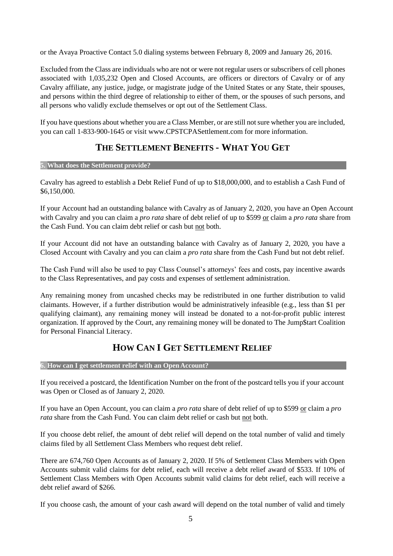or the Avaya Proactive Contact 5.0 dialing systems between February 8, 2009 and January 26, 2016.

Excluded from the Class are individuals who are not or were not regular users or subscribers of cell phones associated with 1,035,232 Open and Closed Accounts, are officers or directors of Cavalry or of any Cavalry affiliate, any justice, judge, or magistrate judge of the United States or any State, their spouses, and persons within the third degree of relationship to either of them, or the spouses of such persons, and all persons who validly exclude themselves or opt out of the Settlement Class.

If you have questions about whether you are a Class Member, or are still not sure whether you are included, you can call 1-833-900-1645 or visit [www.CPSTCPASettlement.com f](http://www.cpstcpasettlement.com/)or more information.

# **THE SETTLEMENT BENEFITS - WHAT YOU GET**

### **5. What does the Settlement provide?**

Cavalry has agreed to establish a Debt Relief Fund of up to \$18,000,000, and to establish a Cash Fund of \$6,150,000.

If your Account had an outstanding balance with Cavalry as of January 2, 2020, you have an Open Account with Cavalry and you can claim a *pro rata* share of debt relief of up to \$599 or claim a *pro rata* share from the Cash Fund. You can claim debt relief or cash but not both.

If your Account did not have an outstanding balance with Cavalry as of January 2, 2020, you have a Closed Account with Cavalry and you can claim a *pro rata* share from the Cash Fund but not debt relief.

The Cash Fund will also be used to pay Class Counsel's attorneys' fees and costs, pay incentive awards to the Class Representatives, and pay costs and expenses of settlement administration.

Any remaining money from uncashed checks may be redistributed in one further distribution to valid claimants. However, if a further distribution would be administratively infeasible (e.g., less than \$1 per qualifying claimant), any remaining money will instead be donated to a not-for-profit public interest organization. If approved by the Court, any remaining money will be donated to The Jump\$tart Coalition for Personal Financial Literacy.

# **HOW CAN I GET SETTLEMENT RELIEF**

## **6. How can I get settlement relief with an OpenAccount?**

If you received a postcard, the Identification Number on the front of the postcard tells you if your account was Open or Closed as of January 2, 2020.

If you have an Open Account, you can claim a *pro rata* share of debt relief of up to \$599 or claim a *pro*  rata share from the Cash Fund. You can claim debt relief or cash but not both.

If you choose debt relief, the amount of debt relief will depend on the total number of valid and timely claims filed by all Settlement Class Members who request debt relief.

There are 674,760 Open Accounts as of January 2, 2020. If 5% of Settlement Class Members with Open Accounts submit valid claims for debt relief, each will receive a debt relief award of \$533. If 10% of Settlement Class Members with Open Accounts submit valid claims for debt relief, each will receive a debt relief award of \$266.

If you choose cash, the amount of your cash award will depend on the total number of valid and timely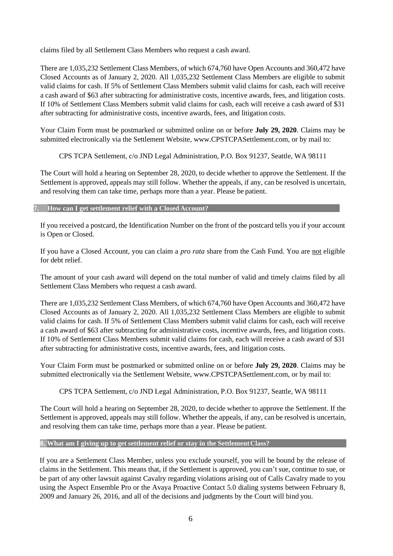claims filed by all Settlement Class Members who request a cash award.

There are 1,035,232 Settlement Class Members, of which 674,760 have Open Accounts and 360,472 have Closed Accounts as of January 2, 2020. All 1,035,232 Settlement Class Members are eligible to submit valid claims for cash. If 5% of Settlement Class Members submit valid claims for cash, each will receive a cash award of \$63 after subtracting for administrative costs, incentive awards, fees, and litigation costs. If 10% of Settlement Class Members submit valid claims for cash, each will receive a cash award of \$31 after subtracting for administrative costs, incentive awards, fees, and litigation costs.

Your Claim Form must be postmarked or submitted online on or before **July 29, 2020**. Claims may be submitted electronically via the Settlement Website, [www.CPSTCPASettlement.com, o](http://www.cpstcpasettlement.com/)r by mail to:

CPS TCPA Settlement, c/o JND Legal Administration, P.O. Box 91237, Seattle, WA 98111

The Court will hold a hearing on September 28, 2020, to decide whether to approve the Settlement. If the Settlement is approved, appeals may still follow. Whether the appeals, if any, can be resolved is uncertain, and resolving them can take time, perhaps more than a year. Please be patient.

#### *How can I get settlement relief with a Closed Account?*

If you received a postcard, the Identification Number on the front of the postcard tells you if your account is Open or Closed.

If you have a Closed Account, you can claim a *pro rata* share from the Cash Fund. You are not eligible for debt relief.

The amount of your cash award will depend on the total number of valid and timely claims filed by all Settlement Class Members who request a cash award.

There are 1,035,232 Settlement Class Members, of which 674,760 have Open Accounts and 360,472 have Closed Accounts as of January 2, 2020. All 1,035,232 Settlement Class Members are eligible to submit valid claims for cash. If 5% of Settlement Class Members submit valid claims for cash, each will receive a cash award of \$63 after subtracting for administrative costs, incentive awards, fees, and litigation costs. If 10% of Settlement Class Members submit valid claims for cash, each will receive a cash award of \$31 after subtracting for administrative costs, incentive awards, fees, and litigation costs.

Your Claim Form must be postmarked or submitted online on or before **July 29, 2020**. Claims may be submitted electronically via the Settlement Website, [www.CPSTCPASettlement.com, o](http://www.cpstcpasettlement.com/)r by mail to:

CPS TCPA Settlement, c/o JND Legal Administration, P.O. Box 91237, Seattle, WA 98111

The Court will hold a hearing on September 28, 2020, to decide whether to approve the Settlement. If the Settlement is approved, appeals may still follow. Whether the appeals, if any, can be resolved is uncertain, and resolving them can take time, perhaps more than a year. Please be patient.

#### **8. What am I giving up to get settlement relief or stay in the SettlementClass?**

If you are a Settlement Class Member, unless you exclude yourself, you will be bound by the release of claims in the Settlement. This means that, if the Settlement is approved, you can't sue, continue to sue, or be part of any other lawsuit against Cavalry regarding violations arising out of Calls Cavalry made to you using the Aspect Ensemble Pro or the Avaya Proactive Contact 5.0 dialing systems between February 8, 2009 and January 26, 2016, and all of the decisions and judgments by the Court will bind you.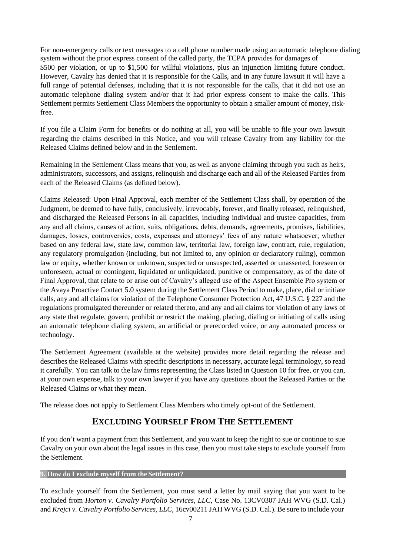For non-emergency calls or text messages to a cell phone number made using an automatic telephone dialing system without the prior express consent of the called party, the TCPA provides for damages of \$500 per violation, or up to \$1,500 for willful violations, plus an injunction limiting future conduct. However, Cavalry has denied that it is responsible for the Calls, and in any future lawsuit it will have a full range of potential defenses, including that it is not responsible for the calls, that it did not use an automatic telephone dialing system and/or that it had prior express consent to make the calls. This Settlement permits Settlement Class Members the opportunity to obtain a smaller amount of money, riskfree.

If you file a Claim Form for benefits or do nothing at all, you will be unable to file your own lawsuit regarding the claims described in this Notice, and you will release Cavalry from any liability for the Released Claims defined below and in the Settlement.

Remaining in the Settlement Class means that you, as well as anyone claiming through you such as heirs, administrators, successors, and assigns, relinquish and discharge each and all of the Released Parties from each of the Released Claims (as defined below).

Claims Released: Upon Final Approval, each member of the Settlement Class shall, by operation of the Judgment, be deemed to have fully, conclusively, irrevocably, forever, and finally released, relinquished, and discharged the Released Persons in all capacities, including individual and trustee capacities, from any and all claims, causes of action, suits, obligations, debts, demands, agreements, promises, liabilities, damages, losses, controversies, costs, expenses and attorneys' fees of any nature whatsoever, whether based on any federal law, state law, common law, territorial law, foreign law, contract, rule, regulation, any regulatory promulgation (including, but not limited to, any opinion or declaratory ruling), common law or equity, whether known or unknown, suspected or unsuspected, asserted or unasserted, foreseen or unforeseen, actual or contingent, liquidated or unliquidated, punitive or compensatory, as of the date of Final Approval, that relate to or arise out of Cavalry's alleged use of the Aspect Ensemble Pro system or the Avaya Proactive Contact 5.0 system during the Settlement Class Period to make, place, dial or initiate calls, any and all claims for violation of the Telephone Consumer Protection Act, 47 U.S.C. § 227 and the regulations promulgated thereunder or related thereto, and any and all claims for violation of any laws of any state that regulate, govern, prohibit or restrict the making, placing, dialing or initiating of calls using an automatic telephone dialing system, an artificial or prerecorded voice, or any automated process or technology.

The Settlement Agreement (available at the website) provides more detail regarding the release and describes the Released Claims with specific descriptions in necessary, accurate legal terminology, so read it carefully. You can talk to the law firms representing the Class listed in Question 10 for free, or you can, at your own expense, talk to your own lawyer if you have any questions about the Released Parties or the Released Claims or what they mean.

The release does not apply to Settlement Class Members who timely opt-out of the Settlement.

## **EXCLUDING YOURSELF FROM THE SETTLEMENT**

If you don't want a payment from this Settlement, and you want to keep the right to sue or continue to sue Cavalry on your own about the legal issues in this case, then you must take steps to exclude yourself from the Settlement.

### **9. How do I exclude myself from the Settlement?**

To exclude yourself from the Settlement, you must send a letter by mail saying that you want to be excluded from *Horton v. Cavalry Portfolio Services, LLC,* Case No. 13CV0307 JAH WVG (S.D. Cal.) and *Krejci v. Cavalry Portfolio Services, LLC*, 16cv00211 JAH WVG (S.D. Cal.). Be sure to include your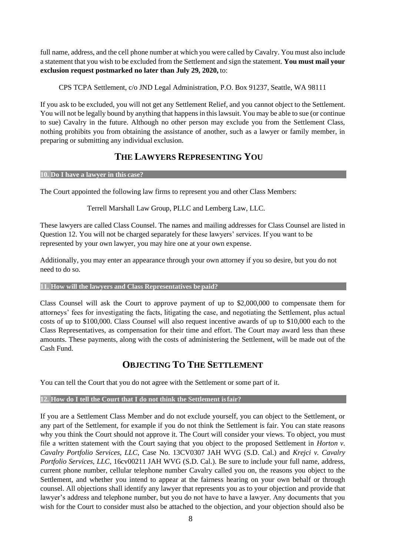full name, address, and the cell phone number at which you were called by Cavalry. You must also include a statement that you wish to be excluded from the Settlement and sign the statement. **You must mail your exclusion request postmarked no later than July 29, 2020,** to:

CPS TCPA Settlement, c/o JND Legal Administration, P.O. Box 91237, Seattle, WA 98111

If you ask to be excluded, you will not get any Settlement Relief, and you cannot object to the Settlement. You will not be legally bound by anything that happens in this lawsuit. You may be able to sue (or continue to sue) Cavalry in the future. Although no other person may exclude you from the Settlement Class, nothing prohibits you from obtaining the assistance of another, such as a lawyer or family member, in preparing or submitting any individual exclusion.

# **THE LAWYERS REPRESENTING YOU**

### **10. Do I have a lawyer in this case?**

The Court appointed the following law firms to represent you and other Class Members:

Terrell Marshall Law Group, PLLC and Lemberg Law, LLC.

These lawyers are called Class Counsel. The names and mailing addresses for Class Counsel are listed in Question 12. You will not be charged separately for these lawyers' services. If you want to be represented by your own lawyer, you may hire one at your own expense.

Additionally, you may enter an appearance through your own attorney if you so desire, but you do not need to do so.

## **11. How will the lawyers and Class Representatives be paid?**

Class Counsel will ask the Court to approve payment of up to \$2,000,000 to compensate them for attorneys' fees for investigating the facts, litigating the case, and negotiating the Settlement, plus actual costs of up to \$100,000. Class Counsel will also request incentive awards of up to \$10,000 each to the Class Representatives, as compensation for their time and effort. The Court may award less than these amounts. These payments, along with the costs of administering the Settlement, will be made out of the Cash Fund.

## **OBJECTING TO THE SETTLEMENT**

You can tell the Court that you do not agree with the Settlement or some part of it.

## **12. How do I tell the Court that I do not think the Settlement isfair?**

If you are a Settlement Class Member and do not exclude yourself, you can object to the Settlement, or any part of the Settlement, for example if you do not think the Settlement is fair. You can state reasons why you think the Court should not approve it. The Court will consider your views. To object, you must file a written statement with the Court saying that you object to the proposed Settlement in *Horton v. Cavalry Portfolio Services, LLC*, Case No. 13CV0307 JAH WVG (S.D. Cal.) and *Krejci v. Cavalry Portfolio Services, LLC*, 16cv00211 JAH WVG (S.D. Cal.). Be sure to include your full name, address, current phone number, cellular telephone number Cavalry called you on, the reasons you object to the Settlement, and whether you intend to appear at the fairness hearing on your own behalf or through counsel. All objections shall identify any lawyer that represents you as to your objection and provide that lawyer's address and telephone number, but you do not have to have a lawyer. Any documents that you wish for the Court to consider must also be attached to the objection, and your objection should also be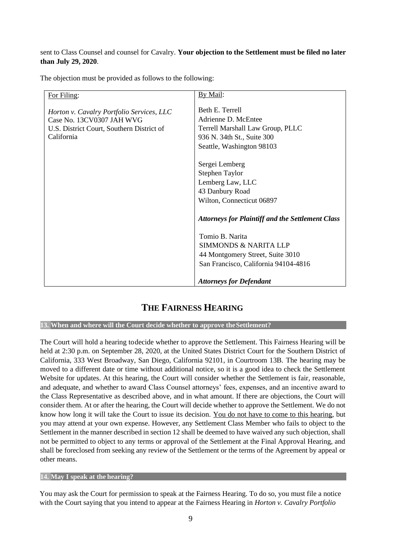sent to Class Counsel and counsel for Cavalry. **Your objection to the Settlement must be filed no later than July 29, 2020**.

The objection must be provided as follows to the following:

| For Filing:                                                                                                                       | By Mail:                                                                                                                                                |
|-----------------------------------------------------------------------------------------------------------------------------------|---------------------------------------------------------------------------------------------------------------------------------------------------------|
| Horton v. Cavalry Portfolio Services, LLC<br>Case No. 13CV0307 JAH WVG<br>U.S. District Court, Southern District of<br>California | Beth E. Terrell<br>Adrienne D. McEntee<br>Terrell Marshall Law Group, PLLC<br>936 N. 34th St., Suite 300<br>Seattle, Washington 98103<br>Sergei Lemberg |
|                                                                                                                                   | Stephen Taylor                                                                                                                                          |
|                                                                                                                                   | Lemberg Law, LLC                                                                                                                                        |
|                                                                                                                                   | 43 Danbury Road                                                                                                                                         |
|                                                                                                                                   | Wilton, Connecticut 06897                                                                                                                               |
|                                                                                                                                   | <b>Attorneys for Plaintiff and the Settlement Class</b>                                                                                                 |
|                                                                                                                                   | Tomio B. Narita                                                                                                                                         |
|                                                                                                                                   | <b>SIMMONDS &amp; NARITA LLP</b>                                                                                                                        |
|                                                                                                                                   | 44 Montgomery Street, Suite 3010                                                                                                                        |
|                                                                                                                                   | San Francisco, California 94104-4816                                                                                                                    |
|                                                                                                                                   |                                                                                                                                                         |
|                                                                                                                                   | <b>Attorneys for Defendant</b>                                                                                                                          |

## **THE FAIRNESS HEARING**

**13. When and where will the Court decide whether to approve theSettlement?**

The Court will hold a hearing todecide whether to approve the Settlement. This Fairness Hearing will be held at 2:30 p.m. on September 28, 2020, at the United States District Court for the Southern District of California, 333 West Broadway, San Diego, California 92101, in Courtroom 13B. The hearing may be moved to a different date or time without additional notice, so it is a good idea to check the Settlement Website for updates. At this hearing, the Court will consider whether the Settlement is fair, reasonable, and adequate, and whether to award Class Counsel attorneys' fees, expenses, and an incentive award to the Class Representative as described above, and in what amount. If there are objections, the Court will consider them. At or after the hearing, the Court will decide whether to approve the Settlement. We do not know how long it will take the Court to issue its decision. You do not have to come to this hearing, but you may attend at your own expense. However, any Settlement Class Member who fails to object to the Settlement in the manner described in section 12 shall be deemed to have waived any such objection, shall not be permitted to object to any terms or approval of the Settlement at the Final Approval Hearing, and shall be foreclosed from seeking any review of the Settlement or the terms of the Agreement by appeal or other means.

**14. May I speak at the hearing?**

You may ask the Court for permission to speak at the Fairness Hearing. To do so, you must file a notice with the Court saying that you intend to appear at the Fairness Hearing in *Horton v. Cavalry Portfolio*